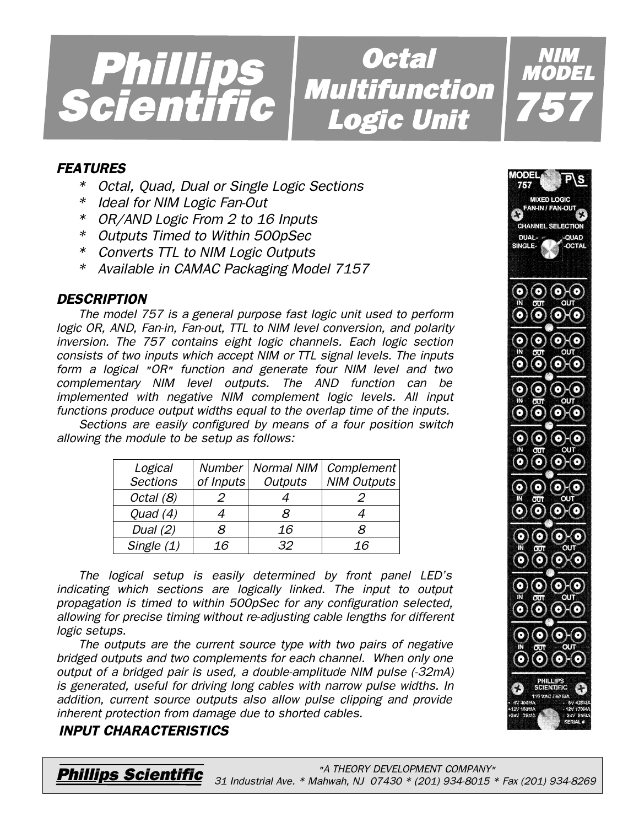

*Octal Multifunction Logic Unit Logic* 

# *FEATURES*

- *\* Octal, Quad, Dual or Single Logic Sections*
- *\* Ideal for NIM Logic Fan-Out*
- *\* OR/AND Logic From 2 to 16 Inputs*
- *\* Outputs Timed to Within 500pSec*
- *\* Converts TTL to NIM Logic Outputs*
- *\* Available in CAMAC Packaging Model 7157*

## *DESCRIPTION*

*The model 757 is a general purpose fast logic unit used to perform logic OR, AND, Fan-in, Fan-out, TTL to NIM level conversion, and polarity inversion. The 757 contains eight logic channels. Each logic section consists of two inputs which accept NIM or TTL signal levels. The inputs form a logical "OR" function and generate four NIM level and two complementary NIM level outputs. The AND function can be implemented with negative NIM complement logic levels. All input functions produce output widths equal to the overlap time of the inputs.*

*Sections are easily configured by means of a four position switch allowing the module to be setup as follows:*

| Logical<br><b>Sections</b> | Number  <br>of Inputs | <b>Outputs</b> | Normal NIM   Complement<br><b>NIM Outputs</b> |
|----------------------------|-----------------------|----------------|-----------------------------------------------|
| Octal (8)                  | 2                     |                |                                               |
| Quad $(4)$                 |                       | я              |                                               |
| Dual $(2)$                 | R                     | 16             |                                               |
| Single $(1)$               | 16                    | 32             | 16                                            |

*The logical setup is easily determined by front panel LED's indicating which sections are logically linked. The input to output propagation is timed to within 500pSec for any configuration selected, allowing for precise timing without re-adjusting cable lengths for different logic setups.*

*The outputs are the current source type with two pairs of negative bridged outputs and two complements for each channel. When only one output of a bridged pair is used, a double-amplitude NIM pulse (-32mA) is generated, useful for driving long cables with narrow pulse widths. In addition, current source outputs also allow pulse clipping and provide inherent protection from damage due to shorted cables.*

## *INPUT CHARACTERISTICS*



*NIM MODEL*

*757*